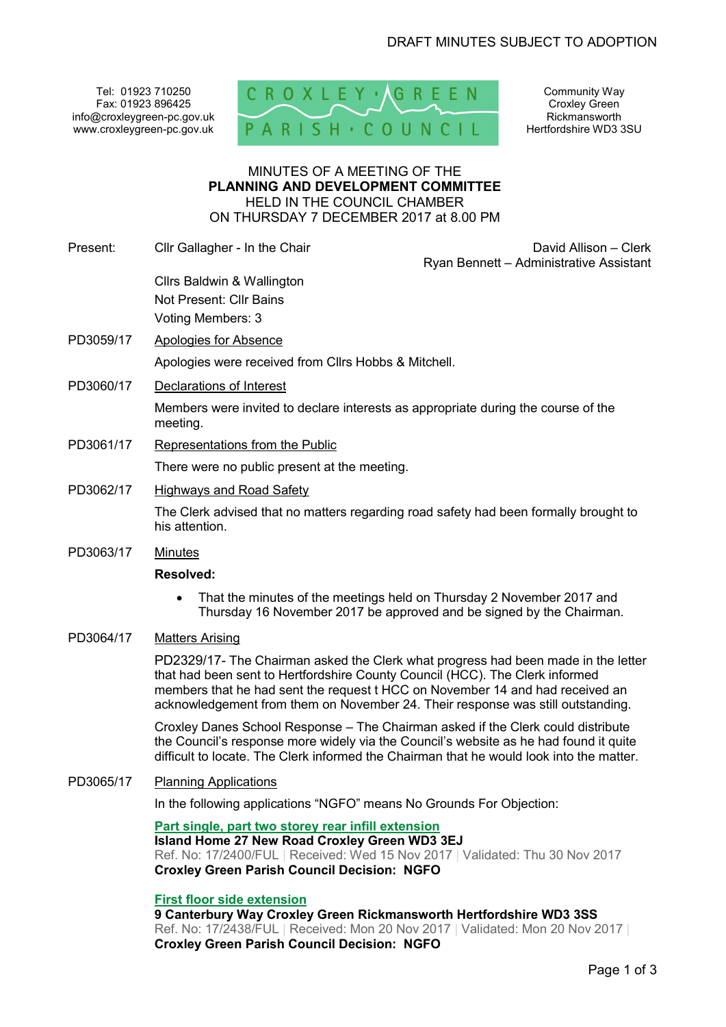Tel: 01923 710250 Fax: 01923 896425 info@croxleygreen-pc.gov.uk www.croxleygreen-pc.gov.uk



Community Way Croxley Green Rickmansworth Hertfordshire WD3 3SU

### MINUTES OF A MEETING OF THE **PLANNING AND DEVELOPMENT COMMITTEE** HELD IN THE COUNCIL CHAMBER ON THURSDAY 7 DECEMBER 2017 at 8.00 PM

- Present: Clir Gallagher In the Chair David Allison Clerk David Allison Clerk Ryan Bennett – Administrative Assistant Cllrs Baldwin & Wallington Not Present: Cllr Bains Voting Members: 3 PD3059/17 Apologies for Absence Apologies were received from Cllrs Hobbs & Mitchell. PD3060/17 Declarations of Interest Members were invited to declare interests as appropriate during the course of the meeting. PD3061/17 Representations from the Public There were no public present at the meeting. PD3062/17 Highways and Road Safety The Clerk advised that no matters regarding road safety had been formally brought to his attention. PD3063/17 Minutes **Resolved:**  • That the minutes of the meetings held on Thursday 2 November 2017 and
	- Thursday 16 November 2017 be approved and be signed by the Chairman.
- PD3064/17 Matters Arising

PD2329/17- The Chairman asked the Clerk what progress had been made in the letter that had been sent to Hertfordshire County Council (HCC). The Clerk informed members that he had sent the request t HCC on November 14 and had received an acknowledgement from them on November 24. Their response was still outstanding.

Croxley Danes School Response – The Chairman asked if the Clerk could distribute the Council's response more widely via the Council's website as he had found it quite difficult to locate. The Clerk informed the Chairman that he would look into the matter.

PD3065/17 Planning Applications

In the following applications "NGFO" means No Grounds For Objection:

**Part single, part two storey rear infill extension Island Home 27 New Road Croxley Green WD3 3EJ**  Ref. No: 17/2400/FUL | Received: Wed 15 Nov 2017 | Validated: Thu 30 Nov 2017 **Croxley Green Parish Council Decision: NGFO**

## **First floor side extension**

**9 Canterbury Way Croxley Green Rickmansworth Hertfordshire WD3 3SS**  Ref. No: 17/2438/FUL | Received: Mon 20 Nov 2017 | Validated: Mon 20 Nov 2017 | **Croxley Green Parish Council Decision: NGFO**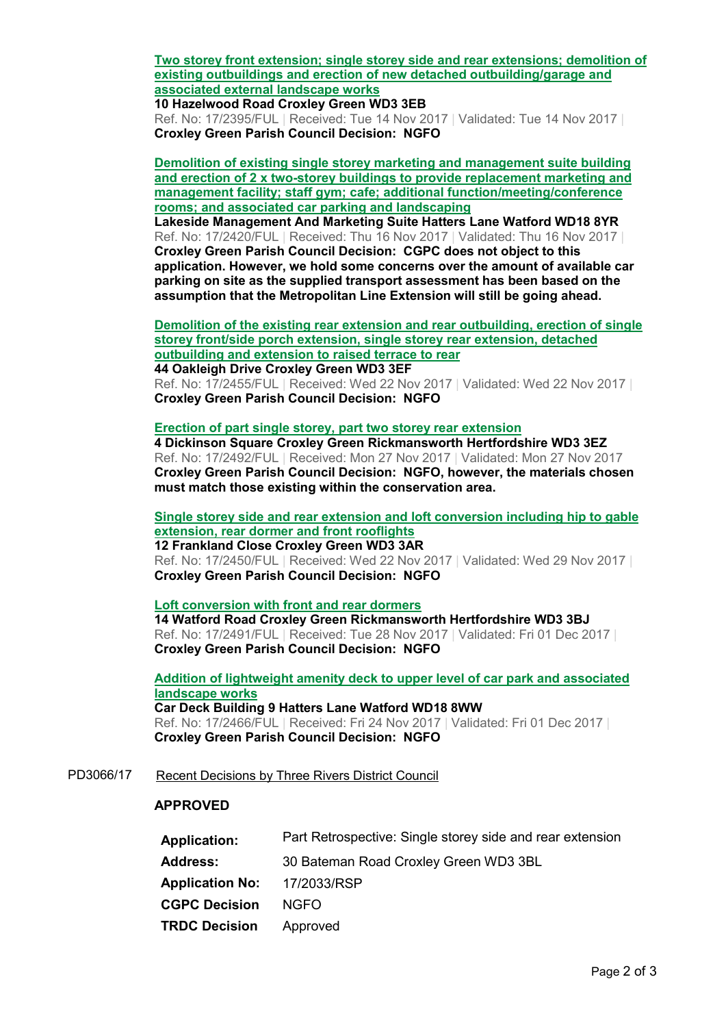**Two storey front extension; single storey side and rear extensions; demolition of existing outbuildings and erection of new detached outbuilding/garage and associated external landscape works**

**10 Hazelwood Road Croxley Green WD3 3EB**  Ref. No: 17/2395/FUL | Received: Tue 14 Nov 2017 | Validated: Tue 14 Nov 2017 | **Croxley Green Parish Council Decision: NGFO**

**Demolition of existing single storey marketing and management suite building and erection of 2 x two-storey buildings to provide replacement marketing and management facility; staff gym; cafe; additional function/meeting/conference rooms; and associated car parking and landscaping**

**Lakeside Management And Marketing Suite Hatters Lane Watford WD18 8YR**  Ref. No: 17/2420/FUL | Received: Thu 16 Nov 2017 | Validated: Thu 16 Nov 2017 | **Croxley Green Parish Council Decision: CGPC does not object to this application. However, we hold some concerns over the amount of available car parking on site as the supplied transport assessment has been based on the assumption that the Metropolitan Line Extension will still be going ahead.** 

**Demolition of the existing rear extension and rear outbuilding, erection of single storey front/side porch extension, single storey rear extension, detached outbuilding and extension to raised terrace to rear**

**44 Oakleigh Drive Croxley Green WD3 3EF**  Ref. No: 17/2455/FUL | Received: Wed 22 Nov 2017 | Validated: Wed 22 Nov 2017 | **Croxley Green Parish Council Decision: NGFO**

## **Erection of part single storey, part two storey rear extension**

**4 Dickinson Square Croxley Green Rickmansworth Hertfordshire WD3 3EZ**  Ref. No: 17/2492/FUL | Received: Mon 27 Nov 2017 | Validated: Mon 27 Nov 2017 **Croxley Green Parish Council Decision: NGFO, however, the materials chosen must match those existing within the conservation area.** 

**Single storey side and rear extension and loft conversion including hip to gable extension, rear dormer and front rooflights 12 Frankland Close Croxley Green WD3 3AR** 

Ref. No: 17/2450/FUL | Received: Wed 22 Nov 2017 | Validated: Wed 29 Nov 2017 | **Croxley Green Parish Council Decision: NGFO**

**Loft conversion with front and rear dormers 14 Watford Road Croxley Green Rickmansworth Hertfordshire WD3 3BJ**  Ref. No: 17/2491/FUL | Received: Tue 28 Nov 2017 | Validated: Fri 01 Dec 2017 | **Croxley Green Parish Council Decision: NGFO**

**Addition of lightweight amenity deck to upper level of car park and associated landscape works Car Deck Building 9 Hatters Lane Watford WD18 8WW**  Ref. No: 17/2466/FUL | Received: Fri 24 Nov 2017 | Validated: Fri 01 Dec 2017 | **Croxley Green Parish Council Decision: NGFO**

PD3066/17 Recent Decisions by Three Rivers District Council

## **APPROVED**

| <b>Application:</b>    | Part Retrospective: Single storey side and rear extension |
|------------------------|-----------------------------------------------------------|
| <b>Address:</b>        | 30 Bateman Road Croxley Green WD3 3BL                     |
| <b>Application No:</b> | 17/2033/RSP                                               |
| <b>CGPC Decision</b>   | NGFO.                                                     |
| <b>TRDC Decision</b>   | Approved                                                  |